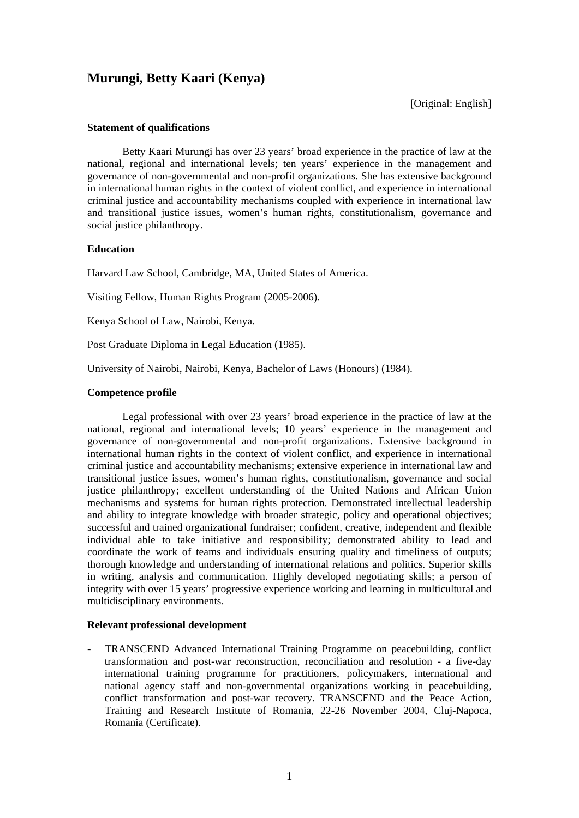# **Murungi, Betty Kaari (Kenya)**

[Original: English]

## **Statement of qualifications**

Betty Kaari Murungi has over 23 years' broad experience in the practice of law at the national, regional and international levels; ten years' experience in the management and governance of non-governmental and non-profit organizations. She has extensive background in international human rights in the context of violent conflict, and experience in international criminal justice and accountability mechanisms coupled with experience in international law and transitional justice issues, women's human rights, constitutionalism, governance and social justice philanthropy.

## **Education**

Harvard Law School, Cambridge, MA, United States of America.

Visiting Fellow, Human Rights Program (2005-2006).

Kenya School of Law, Nairobi, Kenya.

Post Graduate Diploma in Legal Education (1985).

University of Nairobi, Nairobi, Kenya, Bachelor of Laws (Honours) (1984).

## **Competence profile**

Legal professional with over 23 years' broad experience in the practice of law at the national, regional and international levels; 10 years' experience in the management and governance of non-governmental and non-profit organizations. Extensive background in international human rights in the context of violent conflict, and experience in international criminal justice and accountability mechanisms; extensive experience in international law and transitional justice issues, women's human rights, constitutionalism, governance and social justice philanthropy; excellent understanding of the United Nations and African Union mechanisms and systems for human rights protection. Demonstrated intellectual leadership and ability to integrate knowledge with broader strategic, policy and operational objectives; successful and trained organizational fundraiser; confident, creative, independent and flexible individual able to take initiative and responsibility; demonstrated ability to lead and coordinate the work of teams and individuals ensuring quality and timeliness of outputs; thorough knowledge and understanding of international relations and politics. Superior skills in writing, analysis and communication. Highly developed negotiating skills; a person of integrity with over 15 years' progressive experience working and learning in multicultural and multidisciplinary environments.

## **Relevant professional development**

- TRANSCEND Advanced International Training Programme on peacebuilding, conflict transformation and post-war reconstruction, reconciliation and resolution - a five-day international training programme for practitioners, policymakers, international and national agency staff and non-governmental organizations working in peacebuilding, conflict transformation and post-war recovery. TRANSCEND and the Peace Action, Training and Research Institute of Romania, 22-26 November 2004, Cluj-Napoca, Romania (Certificate).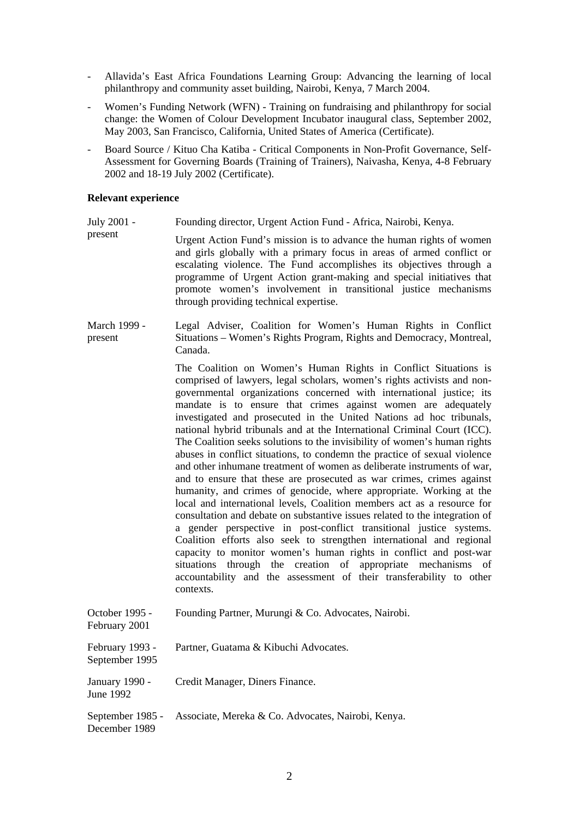- Allavida's East Africa Foundations Learning Group: Advancing the learning of local philanthropy and community asset building, Nairobi, Kenya, 7 March 2004.
- Women's Funding Network (WFN) Training on fundraising and philanthropy for social change: the Women of Colour Development Incubator inaugural class, September 2002, May 2003, San Francisco, California, United States of America (Certificate).
- Board Source / Kituo Cha Katiba Critical Components in Non-Profit Governance, Self-Assessment for Governing Boards (Training of Trainers), Naivasha, Kenya, 4-8 February 2002 and 18-19 July 2002 (Certificate).

#### **Relevant experience**

- July 2001 Founding director, Urgent Action Fund - Africa, Nairobi, Kenya.
- present Urgent Action Fund's mission is to advance the human rights of women and girls globally with a primary focus in areas of armed conflict or escalating violence. The Fund accomplishes its objectives through a programme of Urgent Action grant-making and special initiatives that promote women's involvement in transitional justice mechanisms through providing technical expertise.
- March 1999 present Legal Adviser, Coalition for Women's Human Rights in Conflict Situations – Women's Rights Program, Rights and Democracy, Montreal, Canada.

The Coalition on Women's Human Rights in Conflict Situations is comprised of lawyers, legal scholars, women's rights activists and nongovernmental organizations concerned with international justice; its mandate is to ensure that crimes against women are adequately investigated and prosecuted in the United Nations ad hoc tribunals, national hybrid tribunals and at the International Criminal Court (ICC). The Coalition seeks solutions to the invisibility of women's human rights abuses in conflict situations, to condemn the practice of sexual violence and other inhumane treatment of women as deliberate instruments of war, and to ensure that these are prosecuted as war crimes, crimes against humanity, and crimes of genocide, where appropriate. Working at the local and international levels, Coalition members act as a resource for consultation and debate on substantive issues related to the integration of a gender perspective in post-conflict transitional justice systems. Coalition efforts also seek to strengthen international and regional capacity to monitor women's human rights in conflict and post-war situations through the creation of appropriate mechanisms of accountability and the assessment of their transferability to other contexts.

October 1995 - February 2001 Founding Partner, Murungi & Co. Advocates, Nairobi. February 1993 - September 1995 Partner, Guatama & Kibuchi Advocates. January 1990 - June 1992 Credit Manager, Diners Finance. September 1985 - December 1989 Associate, Mereka & Co. Advocates, Nairobi, Kenya.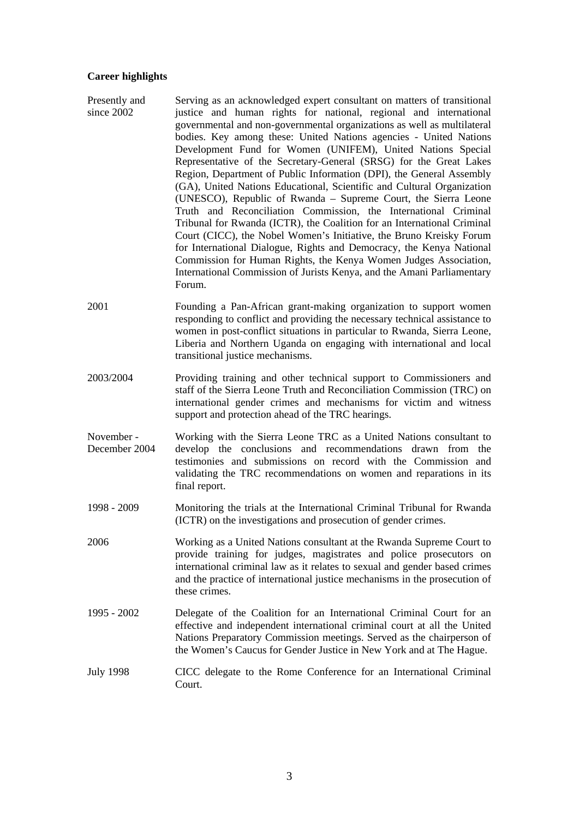#### **Career highlights**

- Presently and since 2002 Serving as an acknowledged expert consultant on matters of transitional justice and human rights for national, regional and international governmental and non-governmental organizations as well as multilateral bodies. Key among these: United Nations agencies - United Nations Development Fund for Women (UNIFEM), United Nations Special Representative of the Secretary-General (SRSG) for the Great Lakes Region, Department of Public Information (DPI), the General Assembly (GA), United Nations Educational, Scientific and Cultural Organization (UNESCO), Republic of Rwanda – Supreme Court, the Sierra Leone Truth and Reconciliation Commission, the International Criminal Tribunal for Rwanda (ICTR), the Coalition for an International Criminal Court (CICC), the Nobel Women's Initiative, the Bruno Kreisky Forum for International Dialogue, Rights and Democracy, the Kenya National Commission for Human Rights, the Kenya Women Judges Association, International Commission of Jurists Kenya, and the Amani Parliamentary Forum.
- 2001 Founding a Pan-African grant-making organization to support women responding to conflict and providing the necessary technical assistance to women in post-conflict situations in particular to Rwanda, Sierra Leone, Liberia and Northern Uganda on engaging with international and local transitional justice mechanisms.
- 2003/2004 Providing training and other technical support to Commissioners and staff of the Sierra Leone Truth and Reconciliation Commission (TRC) on international gender crimes and mechanisms for victim and witness support and protection ahead of the TRC hearings.
- November December 2004 Working with the Sierra Leone TRC as a United Nations consultant to develop the conclusions and recommendations drawn from the testimonies and submissions on record with the Commission and validating the TRC recommendations on women and reparations in its final report.
- 1998 2009 Monitoring the trials at the International Criminal Tribunal for Rwanda (ICTR) on the investigations and prosecution of gender crimes.
- 2006 Working as a United Nations consultant at the Rwanda Supreme Court to provide training for judges, magistrates and police prosecutors on international criminal law as it relates to sexual and gender based crimes and the practice of international justice mechanisms in the prosecution of these crimes.
- 1995 2002 Delegate of the Coalition for an International Criminal Court for an effective and independent international criminal court at all the United Nations Preparatory Commission meetings. Served as the chairperson of the Women's Caucus for Gender Justice in New York and at The Hague.
- July 1998 CICC delegate to the Rome Conference for an International Criminal Court.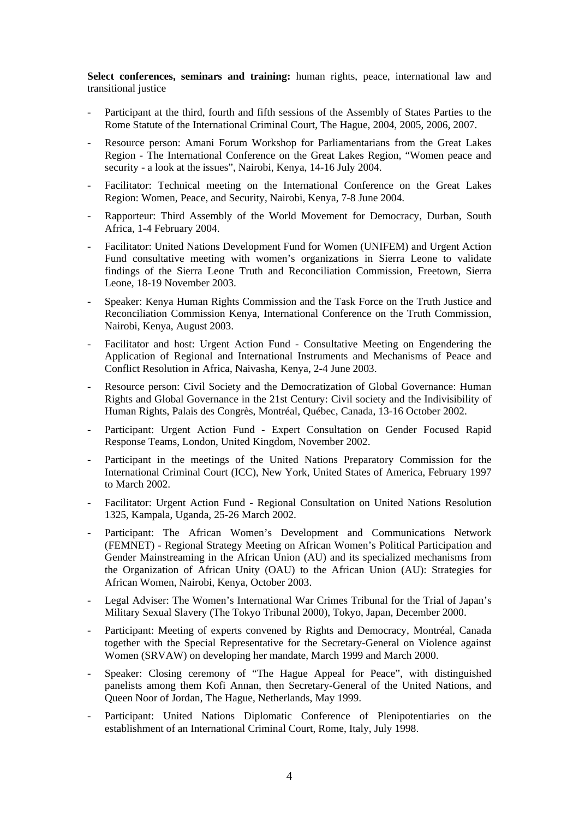**Select conferences, seminars and training:** human rights, peace, international law and transitional justice

- Participant at the third, fourth and fifth sessions of the Assembly of States Parties to the Rome Statute of the International Criminal Court, The Hague, 2004, 2005, 2006, 2007.
- Resource person: Amani Forum Workshop for Parliamentarians from the Great Lakes Region - The International Conference on the Great Lakes Region, "Women peace and security - a look at the issues", Nairobi, Kenya, 14-16 July 2004.
- Facilitator: Technical meeting on the International Conference on the Great Lakes Region: Women, Peace, and Security, Nairobi, Kenya, 7-8 June 2004.
- Rapporteur: Third Assembly of the World Movement for Democracy, Durban, South Africa, 1-4 February 2004.
- Facilitator: United Nations Development Fund for Women (UNIFEM) and Urgent Action Fund consultative meeting with women's organizations in Sierra Leone to validate findings of the Sierra Leone Truth and Reconciliation Commission, Freetown, Sierra Leone, 18-19 November 2003.
- Speaker: Kenya Human Rights Commission and the Task Force on the Truth Justice and Reconciliation Commission Kenya, International Conference on the Truth Commission, Nairobi, Kenya, August 2003.
- Facilitator and host: Urgent Action Fund Consultative Meeting on Engendering the Application of Regional and International Instruments and Mechanisms of Peace and Conflict Resolution in Africa, Naivasha, Kenya, 2-4 June 2003.
- Resource person: Civil Society and the Democratization of Global Governance: Human Rights and Global Governance in the 21st Century: Civil society and the Indivisibility of Human Rights, Palais des Congrès, Montréal, Québec, Canada, 13-16 October 2002.
- Participant: Urgent Action Fund Expert Consultation on Gender Focused Rapid Response Teams, London, United Kingdom, November 2002.
- Participant in the meetings of the United Nations Preparatory Commission for the International Criminal Court (ICC), New York, United States of America, February 1997 to March 2002.
- Facilitator: Urgent Action Fund Regional Consultation on United Nations Resolution 1325, Kampala, Uganda, 25-26 March 2002.
- Participant: The African Women's Development and Communications Network (FEMNET) - Regional Strategy Meeting on African Women's Political Participation and Gender Mainstreaming in the African Union (AU) and its specialized mechanisms from the Organization of African Unity (OAU) to the African Union (AU): Strategies for African Women, Nairobi, Kenya, October 2003.
- Legal Adviser: The Women's International War Crimes Tribunal for the Trial of Japan's Military Sexual Slavery (The Tokyo Tribunal 2000), Tokyo, Japan, December 2000.
- Participant: Meeting of experts convened by Rights and Democracy, Montréal, Canada together with the Special Representative for the Secretary-General on Violence against Women (SRVAW) on developing her mandate, March 1999 and March 2000.
- Speaker: Closing ceremony of "The Hague Appeal for Peace", with distinguished panelists among them Kofi Annan, then Secretary-General of the United Nations, and Queen Noor of Jordan, The Hague, Netherlands, May 1999.
- Participant: United Nations Diplomatic Conference of Plenipotentiaries on the establishment of an International Criminal Court, Rome, Italy, July 1998.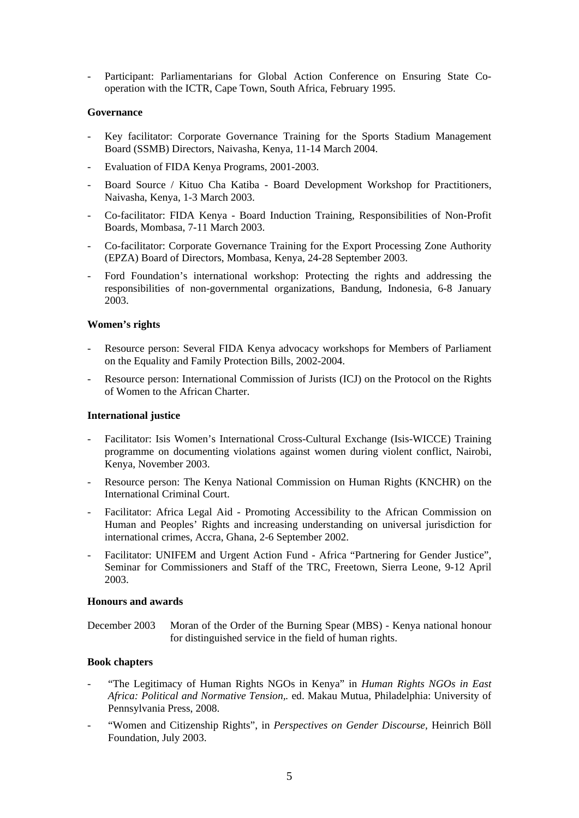Participant: Parliamentarians for Global Action Conference on Ensuring State Cooperation with the ICTR, Cape Town, South Africa, February 1995.

## **Governance**

- Key facilitator: Corporate Governance Training for the Sports Stadium Management Board (SSMB) Directors, Naivasha, Kenya, 11-14 March 2004.
- Evaluation of FIDA Kenya Programs, 2001-2003.
- Board Source / Kituo Cha Katiba Board Development Workshop for Practitioners, Naivasha, Kenya, 1-3 March 2003.
- Co-facilitator: FIDA Kenya Board Induction Training, Responsibilities of Non-Profit Boards, Mombasa, 7-11 March 2003.
- Co-facilitator: Corporate Governance Training for the Export Processing Zone Authority (EPZA) Board of Directors, Mombasa, Kenya, 24-28 September 2003.
- Ford Foundation's international workshop: Protecting the rights and addressing the responsibilities of non-governmental organizations, Bandung, Indonesia, 6-8 January 2003.

## **Women's rights**

- Resource person: Several FIDA Kenya advocacy workshops for Members of Parliament on the Equality and Family Protection Bills, 2002-2004.
- Resource person: International Commission of Jurists (ICJ) on the Protocol on the Rights of Women to the African Charter.

#### **International justice**

- Facilitator: Isis Women's International Cross-Cultural Exchange (Isis-WICCE) Training programme on documenting violations against women during violent conflict, Nairobi, Kenya, November 2003.
- Resource person: The Kenya National Commission on Human Rights (KNCHR) on the International Criminal Court.
- Facilitator: Africa Legal Aid Promoting Accessibility to the African Commission on Human and Peoples' Rights and increasing understanding on universal jurisdiction for international crimes, Accra, Ghana, 2-6 September 2002.
- Facilitator: UNIFEM and Urgent Action Fund Africa "Partnering for Gender Justice", Seminar for Commissioners and Staff of the TRC, Freetown, Sierra Leone, 9-12 April 2003.

#### **Honours and awards**

December 2003 Moran of the Order of the Burning Spear (MBS) - Kenya national honour for distinguished service in the field of human rights.

# **Book chapters**

- "The Legitimacy of Human Rights NGOs in Kenya" in *Human Rights NGOs in East Africa: Political and Normative Tension,.* ed. Makau Mutua, Philadelphia: University of Pennsylvania Press, 2008.
- "Women and Citizenship Rights", in *Perspectives on Gender Discourse,* Heinrich Böll Foundation, July 2003.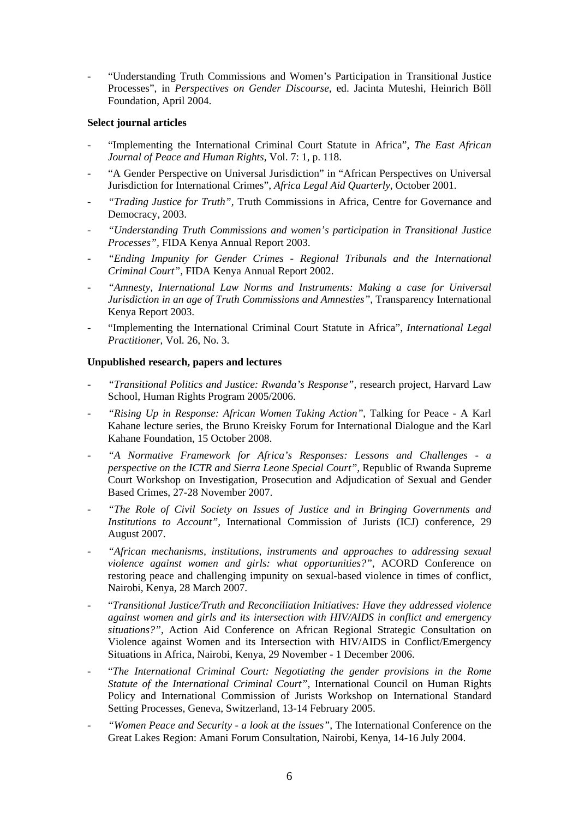- "Understanding Truth Commissions and Women's Participation in Transitional Justice Processes", in *Perspectives on Gender Discourse,* ed. Jacinta Muteshi, Heinrich Böll Foundation, April 2004.

# **Select journal articles**

- "Implementing the International Criminal Court Statute in Africa", *The East African Journal of Peace and Human Rights*, Vol. 7: 1, p. 118.
- "A Gender Perspective on Universal Jurisdiction" in "African Perspectives on Universal Jurisdiction for International Crimes", *Africa Legal Aid Quarterly*, October 2001.
- *"Trading Justice for Truth",* Truth Commissions in Africa, Centre for Governance and Democracy, 2003.
- *"Understanding Truth Commissions and women's participation in Transitional Justice Processes",* FIDA Kenya Annual Report 2003.
- *"Ending Impunity for Gender Crimes Regional Tribunals and the International Criminal Court",* FIDA Kenya Annual Report 2002.
- *"Amnesty, International Law Norms and Instruments: Making a case for Universal Jurisdiction in an age of Truth Commissions and Amnesties"*, Transparency International Kenya Report 2003.
- "Implementing the International Criminal Court Statute in Africa", *International Legal Practitioner*, Vol. 26, No. 3.

# **Unpublished research, papers and lectures**

- *"Transitional Politics and Justice: Rwanda's Response",* research project, Harvard Law School, Human Rights Program 2005/2006.
- *"Rising Up in Response: African Women Taking Action"*, Talking for Peace A Karl Kahane lecture series, the Bruno Kreisky Forum for International Dialogue and the Karl Kahane Foundation, 15 October 2008.
- *"A Normative Framework for Africa's Responses: Lessons and Challenges a perspective on the ICTR and Sierra Leone Special Court",* Republic of Rwanda Supreme Court Workshop on Investigation, Prosecution and Adjudication of Sexual and Gender Based Crimes, 27-28 November 2007.
- *"The Role of Civil Society on Issues of Justice and in Bringing Governments and Institutions to Account",* International Commission of Jurists (ICJ) conference, 29 August 2007.
- *"African mechanisms, institutions, instruments and approaches to addressing sexual violence against women and girls: what opportunities?",* ACORD Conference on restoring peace and challenging impunity on sexual-based violence in times of conflict, Nairobi, Kenya, 28 March 2007.
- "*Transitional Justice/Truth and Reconciliation Initiatives: Have they addressed violence against women and girls and its intersection with HIV/AIDS in conflict and emergency situations?"*, Action Aid Conference on African Regional Strategic Consultation on Violence against Women and its Intersection with HIV/AIDS in Conflict/Emergency Situations in Africa, Nairobi, Kenya, 29 November - 1 December 2006.
- "*The International Criminal Court: Negotiating the gender provisions in the Rome Statute of the International Criminal Court",* International Council on Human Rights Policy and International Commission of Jurists Workshop on International Standard Setting Processes, Geneva, Switzerland, 13-14 February 2005.
- *"Women Peace and Security a look at the issues",* The International Conference on the Great Lakes Region: Amani Forum Consultation, Nairobi, Kenya, 14-16 July 2004.